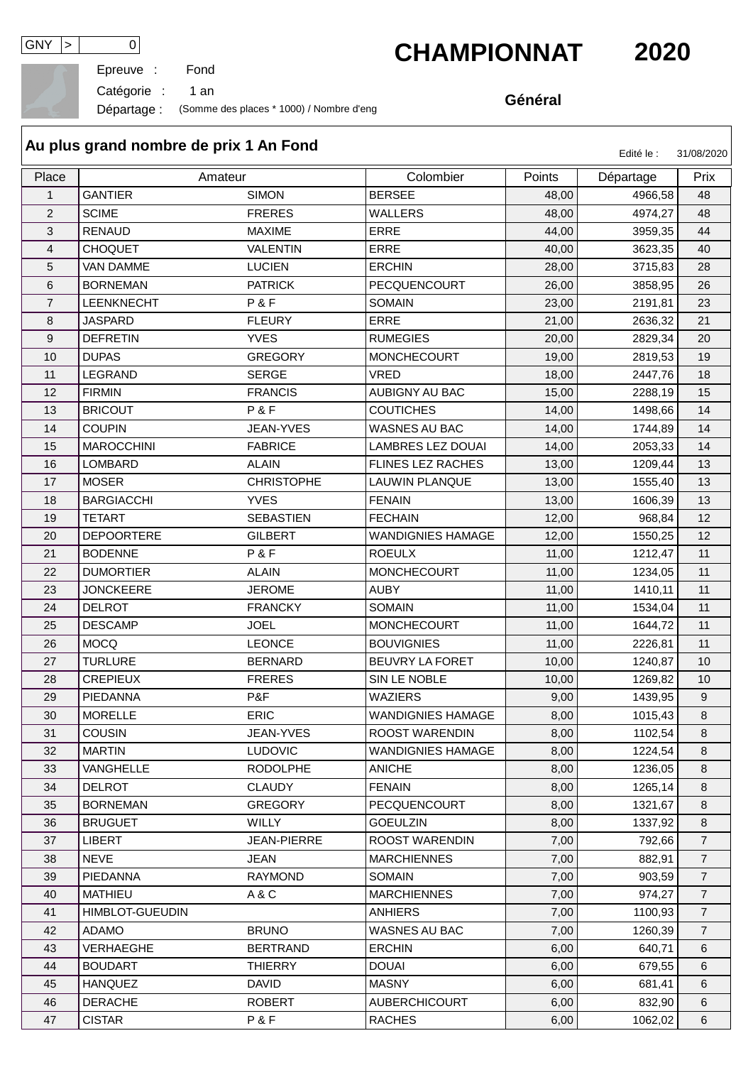Epreuve :

## GNY > 0<br>Epreuve : Fond<br>**CHAMPIONNAT** 2020

Catégorie : 1 an

Départage : (Somme des places \* 1000) / Nombre d'eng

**Général**

| Au plus grand nombre de prix 1 An Fond<br>Edité le :<br>31/08/2020 |                        |                    |                          |        |           |                |  |  |  |  |
|--------------------------------------------------------------------|------------------------|--------------------|--------------------------|--------|-----------|----------------|--|--|--|--|
| Place                                                              |                        | Amateur            | Colombier                | Points | Départage | Prix           |  |  |  |  |
| $\mathbf{1}$                                                       | <b>GANTIER</b>         | <b>SIMON</b>       | <b>BERSEE</b>            | 48,00  | 4966,58   | 48             |  |  |  |  |
| $\overline{2}$                                                     | <b>SCIME</b>           | <b>FRERES</b>      | <b>WALLERS</b>           | 48,00  | 4974,27   | 48             |  |  |  |  |
| 3                                                                  | <b>RENAUD</b>          | <b>MAXIME</b>      | <b>ERRE</b>              | 44,00  | 3959,35   | 44             |  |  |  |  |
| 4                                                                  | <b>CHOQUET</b>         | <b>VALENTIN</b>    | <b>ERRE</b>              | 40,00  | 3623,35   | 40             |  |  |  |  |
| 5                                                                  | <b>VAN DAMME</b>       | <b>LUCIEN</b>      | <b>ERCHIN</b>            | 28,00  | 3715,83   | 28             |  |  |  |  |
| 6                                                                  | <b>BORNEMAN</b>        | <b>PATRICK</b>     | PECQUENCOURT             | 26,00  | 3858,95   | 26             |  |  |  |  |
| $\overline{7}$                                                     | <b>LEENKNECHT</b>      | P&F                | <b>SOMAIN</b>            | 23,00  | 2191,81   | 23             |  |  |  |  |
| 8                                                                  | <b>JASPARD</b>         | <b>FLEURY</b>      | <b>ERRE</b>              | 21,00  | 2636,32   | 21             |  |  |  |  |
| 9                                                                  | <b>DEFRETIN</b>        | <b>YVES</b>        | <b>RUMEGIES</b>          | 20,00  | 2829,34   | 20             |  |  |  |  |
| 10                                                                 | <b>DUPAS</b>           | <b>GREGORY</b>     | <b>MONCHECOURT</b>       | 19,00  | 2819,53   | 19             |  |  |  |  |
| 11                                                                 | LEGRAND                | <b>SERGE</b>       | <b>VRED</b>              | 18,00  | 2447,76   | 18             |  |  |  |  |
| 12                                                                 | <b>FIRMIN</b>          | <b>FRANCIS</b>     | <b>AUBIGNY AU BAC</b>    | 15,00  | 2288,19   | 15             |  |  |  |  |
| 13                                                                 | <b>BRICOUT</b>         | P&F                | <b>COUTICHES</b>         | 14,00  | 1498,66   | 14             |  |  |  |  |
| 14                                                                 | <b>COUPIN</b>          | JEAN-YVES          | <b>WASNES AU BAC</b>     | 14,00  | 1744,89   | 14             |  |  |  |  |
| 15                                                                 | <b>MAROCCHINI</b>      | <b>FABRICE</b>     | <b>LAMBRES LEZ DOUAI</b> | 14,00  | 2053,33   | 14             |  |  |  |  |
| 16                                                                 | <b>LOMBARD</b>         | <b>ALAIN</b>       | FLINES LEZ RACHES        | 13,00  | 1209,44   | 13             |  |  |  |  |
| 17                                                                 | <b>MOSER</b>           | <b>CHRISTOPHE</b>  | LAUWIN PLANQUE           | 13,00  | 1555,40   | 13             |  |  |  |  |
| 18                                                                 | <b>BARGIACCHI</b>      | <b>YVES</b>        | <b>FENAIN</b>            | 13,00  | 1606,39   | 13             |  |  |  |  |
| 19                                                                 | <b>TETART</b>          | <b>SEBASTIEN</b>   | <b>FECHAIN</b>           | 12,00  | 968,84    | 12             |  |  |  |  |
| 20                                                                 | <b>DEPOORTERE</b>      | <b>GILBERT</b>     | <b>WANDIGNIES HAMAGE</b> | 12,00  | 1550,25   | 12             |  |  |  |  |
| 21                                                                 | <b>BODENNE</b>         | P&F                | <b>ROEULX</b>            | 11,00  | 1212,47   | 11             |  |  |  |  |
| 22                                                                 | <b>DUMORTIER</b>       | <b>ALAIN</b>       | <b>MONCHECOURT</b>       | 11,00  | 1234,05   | 11             |  |  |  |  |
| 23                                                                 | <b>JONCKEERE</b>       | <b>JEROME</b>      | <b>AUBY</b>              | 11,00  | 1410,11   | 11             |  |  |  |  |
| 24                                                                 | <b>DELROT</b>          | <b>FRANCKY</b>     | <b>SOMAIN</b>            | 11,00  | 1534,04   | 11             |  |  |  |  |
| 25                                                                 | <b>DESCAMP</b>         | <b>JOEL</b>        | <b>MONCHECOURT</b>       | 11,00  | 1644,72   | 11             |  |  |  |  |
| 26                                                                 | <b>MOCQ</b>            | <b>LEONCE</b>      | <b>BOUVIGNIES</b>        | 11,00  | 2226,81   | 11             |  |  |  |  |
| 27                                                                 | <b>TURLURE</b>         | <b>BERNARD</b>     | BEUVRY LA FORET          | 10,00  | 1240,87   | 10             |  |  |  |  |
| 28                                                                 | <b>CREPIEUX</b>        | <b>FRERES</b>      | SIN LE NOBLE             | 10,00  | 1269,82   | 10             |  |  |  |  |
| 29                                                                 | PIEDANNA               | P&F                | WAZIERS                  | 9,00   | 1439,95   | 9              |  |  |  |  |
| 30                                                                 | <b>MORELLE</b>         | <b>ERIC</b>        | <b>WANDIGNIES HAMAGE</b> | 8,00   | 1015,43   | 8              |  |  |  |  |
| 31                                                                 | <b>COUSIN</b>          | JEAN-YVES          | ROOST WARENDIN           | 8,00   | 1102,54   | 8              |  |  |  |  |
| 32                                                                 | <b>MARTIN</b>          | <b>LUDOVIC</b>     | <b>WANDIGNIES HAMAGE</b> | 8,00   | 1224,54   | 8              |  |  |  |  |
| 33                                                                 | VANGHELLE              | <b>RODOLPHE</b>    | <b>ANICHE</b>            | 8,00   | 1236,05   | $\bf 8$        |  |  |  |  |
| 34                                                                 | <b>DELROT</b>          | <b>CLAUDY</b>      | <b>FENAIN</b>            | 8,00   | 1265,14   | 8              |  |  |  |  |
| 35                                                                 | <b>BORNEMAN</b>        | <b>GREGORY</b>     | PECQUENCOURT             | 8,00   | 1321,67   | 8              |  |  |  |  |
| 36                                                                 | <b>BRUGUET</b>         | WILLY              | <b>GOEULZIN</b>          | 8,00   | 1337,92   | 8              |  |  |  |  |
| 37                                                                 | <b>LIBERT</b>          | <b>JEAN-PIERRE</b> | ROOST WARENDIN           | 7,00   | 792,66    | $\overline{7}$ |  |  |  |  |
| 38                                                                 | <b>NEVE</b>            | <b>JEAN</b>        | <b>MARCHIENNES</b>       | 7,00   | 882,91    | $\overline{7}$ |  |  |  |  |
| 39                                                                 | <b>PIEDANNA</b>        | <b>RAYMOND</b>     | SOMAIN                   | 7,00   | 903,59    | $\overline{7}$ |  |  |  |  |
| 40                                                                 | <b>MATHIEU</b>         | A&C                | <b>MARCHIENNES</b>       | 7,00   | 974,27    | $\overline{7}$ |  |  |  |  |
| 41                                                                 | <b>HIMBLOT-GUEUDIN</b> |                    | ANHIERS                  | 7,00   | 1100,93   | $\overline{7}$ |  |  |  |  |
| 42                                                                 | <b>ADAMO</b>           | <b>BRUNO</b>       | <b>WASNES AU BAC</b>     | 7,00   | 1260,39   | $\overline{7}$ |  |  |  |  |
| 43                                                                 | VERHAEGHE              | <b>BERTRAND</b>    | <b>ERCHIN</b>            | 6,00   | 640,71    | 6              |  |  |  |  |
| 44                                                                 | <b>BOUDART</b>         | <b>THIERRY</b>     | <b>DOUAI</b>             | 6,00   | 679,55    | $\,6\,$        |  |  |  |  |
| 45                                                                 | <b>HANQUEZ</b>         | <b>DAVID</b>       | <b>MASNY</b>             | 6,00   | 681,41    | 6              |  |  |  |  |
| 46                                                                 | <b>DERACHE</b>         | <b>ROBERT</b>      | AUBERCHICOURT            | 6,00   | 832,90    | 6              |  |  |  |  |

CISTAR P & F RACHES 6,00 1062,02 6